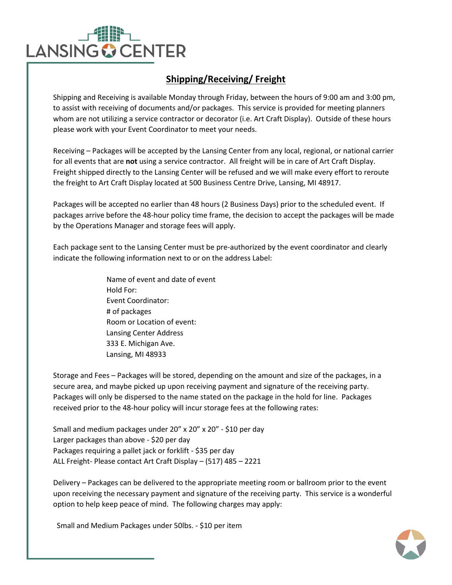

## **Shipping/Receiving/ Freight**

Shipping and Receiving is available Monday through Friday, between the hours of 9:00 am and 3:00 pm, to assist with receiving of documents and/or packages. This service is provided for meeting planners whom are not utilizing a service contractor or decorator (i.e. Art Craft Display). Outside of these hours please work with your Event Coordinator to meet your needs.

Receiving – Packages will be accepted by the Lansing Center from any local, regional, or national carrier for all events that are **not** using a service contractor. All freight will be in care of Art Craft Display. Freight shipped directly to the Lansing Center will be refused and we will make every effort to reroute the freight to Art Craft Display located at 500 Business Centre Drive, Lansing, MI 48917.

Packages will be accepted no earlier than 48 hours (2 Business Days) prior to the scheduled event. If packages arrive before the 48-hour policy time frame, the decision to accept the packages will be made by the Operations Manager and storage fees will apply.

Each package sent to the Lansing Center must be pre-authorized by the event coordinator and clearly indicate the following information next to or on the address Label:

> Name of event and date of event Hold For: Event Coordinator: # of packages Room or Location of event: Lansing Center Address 333 E. Michigan Ave. Lansing, MI 48933

Storage and Fees – Packages will be stored, depending on the amount and size of the packages, in a secure area, and maybe picked up upon receiving payment and signature of the receiving party. Packages will only be dispersed to the name stated on the package in the hold for line. Packages received prior to the 48-hour policy will incur storage fees at the following rates:

Small and medium packages under 20" x 20" x 20" - \$10 per day Larger packages than above - \$20 per day Packages requiring a pallet jack or forklift - \$35 per day ALL Freight- Please contact Art Craft Display – (517) 485 – 2221

Delivery – Packages can be delivered to the appropriate meeting room or ballroom prior to the event upon receiving the necessary payment and signature of the receiving party. This service is a wonderful option to help keep peace of mind. The following charges may apply:

Small and Medium Packages under 50lbs. - \$10 per item